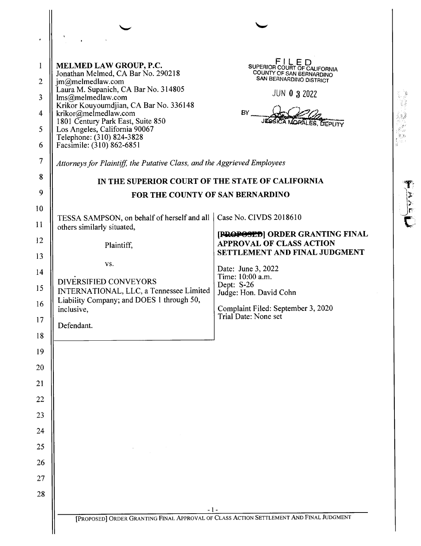| 1                       | <b>MELMED LAW GROUP, P.C.</b><br>Jonathan Melmed, CA Bar No. 290218                    | FILED<br>SUPERIOR COURT OF CALIFORNIA<br>COUNTY OF SAN BERNARDINO |
|-------------------------|----------------------------------------------------------------------------------------|-------------------------------------------------------------------|
| $\overline{2}$          | jm@melmedlaw.com<br>Laura M. Supanich, CA Bar No. 314805                               | SAN BERNARDINO DISTRICT<br><b>JUN 0 3 2022</b>                    |
| $\overline{\mathbf{3}}$ | lms@melmedlaw.com<br>Krikor Kouyoumdjian, CA Bar No. 336148                            |                                                                   |
| $\overline{\mathbf{4}}$ | krikor@melmedlaw.com<br>1801 Century Park East, Suite 850                              | BY<br><b>SICA MORALES, DEPUTY</b>                                 |
| 5                       | Los Angeles, California 90067<br>Telephone: (310) 824-3828                             |                                                                   |
| 6                       | Facsimile: (310) 862-6851                                                              |                                                                   |
| 7                       | Attorneys for Plaintiff, the Putative Class, and the Aggrieved Employees               |                                                                   |
| 8                       | IN THE SUPERIOR COURT OF THE STATE OF CALIFORNIA                                       |                                                                   |
| 9                       | FOR THE COUNTY OF SAN BERNARDINO                                                       |                                                                   |
| 10                      | TESSA SAMPSON, on behalf of herself and all                                            | Case No. CIVDS 2018610                                            |
| 11                      | others similarly situated,                                                             | [PROPOSED] ORDER GRANTING FINAL                                   |
| 12                      | Plaintiff,                                                                             | <b>APPROVAL OF CLASS ACTION</b><br>SETTLEMENT AND FINAL JUDGMENT  |
| 13                      | VS.                                                                                    | Date: June 3, 2022                                                |
| 14                      | DIVERSIFIED CONVEYORS                                                                  | Time: 10:00 a.m.<br>Dept: S-26                                    |
| 15                      | INTERNATIONAL, LLC, a Tennessee Limited<br>Liability Company; and DOES 1 through 50,   | Judge: Hon. David Cohn                                            |
| 16                      | inclusive,                                                                             | Complaint Filed: September 3, 2020<br>Trial Date: None set        |
| 17                      | Defendant.                                                                             |                                                                   |
| 18                      |                                                                                        |                                                                   |
| 19                      |                                                                                        |                                                                   |
| 20<br>21                |                                                                                        |                                                                   |
| 22                      |                                                                                        |                                                                   |
| 23                      |                                                                                        |                                                                   |
| 24                      |                                                                                        |                                                                   |
| 25                      |                                                                                        |                                                                   |
| 26                      |                                                                                        |                                                                   |
| $27\,$                  |                                                                                        |                                                                   |
| 28                      |                                                                                        |                                                                   |
|                         | $-1-$                                                                                  |                                                                   |
|                         | [PROPOSED] ORDER GRANTING FINAL APPROVAL OF CLASS ACTION SETTLEMENT AND FINAL JUDGMENT |                                                                   |

今世高的。

 $\frac{1}{\sqrt{2}}$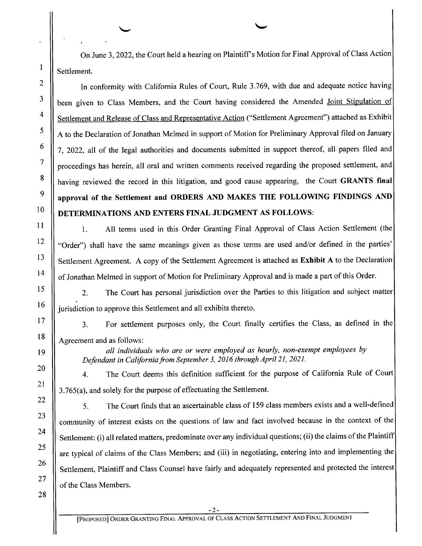On June 3, 2022, the Court held a hearing on Plaintiff's Motion for Final Approval of Class Action Settlement.

In conformity with California Rules of Court, Rule 3.769, with due and adequate notice having been given to Class Members, and the Court having considered the Amended Joint Stipulation of Settlement and Release of Class and Representative Action ("Settlement Agreement") attached as Exhibit A to the Declaration of Jonathan Melmed in support of Motion for Preliminary Approval filed on January 7, 2022, all of the legal authorities and documents submitted in support thereof, all papers filed and proceedings has herein, all oral and written comments received regarding the proposed settlement, and having reviewed the record in this litigation, and good cause appearing, the Court GRANTS final approval 0f the Settlement and ORDERS AND MAKES THE FOLLOWING FINDINGS AND DETERMINATIONS AND ENTERS FINAL JUDGMENT AS FOLLOWS:

1. All terms used in this Order Granting Final Approval of Class Action Settlement (the "Order") shall have the same meanings given as those terms are used and/or defined in the parties' Settlement Agreement. A copy of the Settlement Agreement is attached as Exhibit A to the Declaration of Jonathan Melmed in support of Motion for Preliminary Approval and is made a part of this Order.

2. The Court has personal jurisdiction over the Parties to this litigation and subject matter jurisdiction to approve this Settlement and all exhibits thereto.

3. For settlement purposes only, the Court finally certifies the Class, as defined in the Agreement and as follows:

all individuals who are or were employed as hourly, non-exempt employees by Defendant in California from September 3, 2016 through April 21, 2021.

4. The Court deems this definition sufficient for the purpose of California Rule of Court 3.765(a), and solely for the purpose of effectuating the Settlement.

5. The Court finds that an ascertainable class of 159 class members exists and well-defined community of interest exists on the questions 0f law and fact involved because in the context of the Settlement: (i) all related matters, predominate over any individual questions; (ii) the claims of the Plaintiff are typical 0f claims of the Class Members; and (iii) in negotiating, entering into and implementing the Settlement, Plaintiff and Class Counsel have fairly and adequately represented and protected the interest of the Class Members.

26 27 28

 $8$ 

 $\mathbf Q$ 

 $\overline{7}$ 

 $\mathbf{1}$ 

 $\overline{2}$ 

3

 $\overline{4}$ 

5

6

10

11

12

13

14

15

16

17

18

19

20

21

22

23

24

25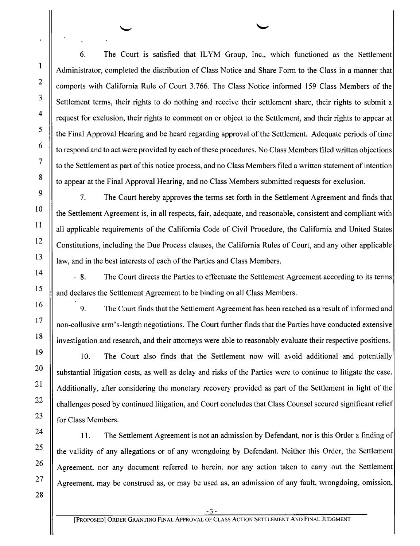6. The Court is satisfied that ILYM Group, Inc., which functioned as the Settlement Administrator, completed the distribution of Class Notice and Share Form to the Class in a manner that comports with California Rule 0f Court 3.766. The Class Notice informed 159 Class Members of the Settlement terms, their rights to do nothing and receive their settlement share, their rights to submit a request for exclusion, their rights to comment on or object to the Settlement, and their rights to appear at the Final Approval Hearing and be heard regarding approval of the Settlement. Adequate periods of time to respond and to act were provided by each of these procedures. No Class Members filed written objections to the Settlement as part of this notice process, and no Class Members filed a written statement of intention to appear at the Final Approval Hearing, and no Class Members submitted requests for exclusion.

7. The Court hereby approves the terms set forth in the Settlement Agreement and finds that the Settlement Agreement is, in all respects, fair, adequate, and reasonable, consistent and compliant With all applicable requirements of the California Code of Civil Procedure, the California and United States Constitutions, including the Due Process clauses, the California Rules of Court, and any other applicable law, and in the best interests 0f each 0f the Parties and Class Members.

8. The Court directs the Parties to effectuate the Settlement Agreement according to its terms and declares the Settlement Agreement to be binding on all Class Members.

9. The Court finds that the Settlement Agreement has been reached as a result of informed and non-collusive arm's-length negotiations. The Court further finds that the Parties have conducted extensive investigation and research, and their attorneys were able to reasonably evaluate their respective positions.

10. The Court also finds that the Settlement now will avoid additional and potentially substantial litigation costs, as well as delay and risks of the Parties were to continue to litigate the case. Additionally, after considering the monetary recovery provided as part of the Settlement in light of the challenges posed by continued litigation, and Court concludes that Class Counsel secured significant relief for Class Members.

11. The Settlement Agreement is not an admission by Defendant, nor is this Order a finding of the validity 0f any allegations 0r of any wrongdoing by Defendant. Neither this Order, the Settlement Agreement, nor any document referred to herein, nor any action taken to carry out the Settlement Agreement, may be construed as, or may be used as, an admission 0f any fault, wrongdoing, omission,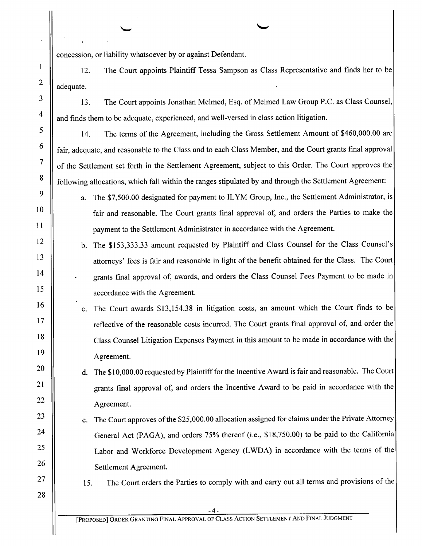concession, or liability whatsoever by or against Defendant.

12. adequate. The Court appoints Plaintiff Tessa Sampson as Class Representative and finds her to be

13. The Court appoints Jonathan Melmed, Esq. 0f Melmed Law Group P.C. as Class Counsel, and finds them to be adequate, experienced, and well-versed in class action litigation.

14. The terms of the Agreement, including the Gross Settlement Amount 0f \$460,000.00 are fair, adequate, and reasonable to the Class and to each Class Member, and the Court grants final approval 0f the Settlement set forth in the Settlement Agreement, subject to this Order. The Court approves the following allocations, which fall within the ranges stipulated by and through the Settlement Agreement:

a. The \$7,500.00 designated for payment to ILYM Group, Inc., the Settlement Administrator, is fair and reasonable. The Court grants final approval of, and orders the Parties to make the payment to the Settlement Administrator in accordance with the Agreement.

The \$153,333.33 amount requested by Plaintiff and Class Counsel for the Class Counsel's attorneys' fees is fair and reasonable in light of the benefit obtained for the Class. The Court grants final approval of, awards, and orders the Class Counsel Fees Payment to be made in accordance with the Agreement.

The Court awards \$13,154.38 in litigation costs, an amount which the Court finds to be reflective of the reasonable costs incurred. The Court grants final approval of, and order the Class Counsel Litigation Expenses Payment in this amount to be made in accordance with the Agreement.

d. The \$10,000.00 requested by Plaintiff for the Incentive Award is fair and reasonable. The Court grants final approval of, and orders the Incentive Award to be paid in accordance with the Agreement.

e. The Court approves of the \$25,000.00 allocation assigned for claims under the Private Attorney General Act (PAGA), and orders 75% thereof (i.e., \$18,750.00) t0 be paid to the California Labor and Workforce Development Agency (LWDA) in accordance with the terms of the Settlement Agreement.

 $8$ 

 $\mathbf Q$ 

 $\overline{7}$ 

 $\mathbf{1}$ 

 $\overline{2}$ 

3

 $\overline{\mathbf{4}}$ 

5

6

10

11

12

13

14

15

16

17

18

19

20

21

22

23

24

25

26

27

28

15. The Court orders the Parties to comply with and carry out all terms and provisions of the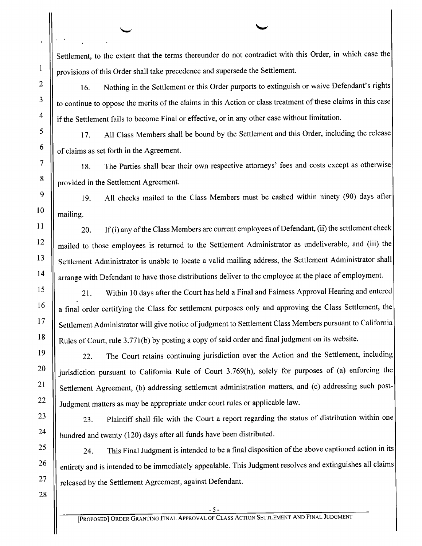Settlement, to the extent that the terms thereunder do not contradict with this Order, in which case the provisions of this Order shall take precedence and supersede the Settlement.

 $\sim$ 

16. Nothing in the Settlement or this Order purports to extinguish or waive Defendant's rights to continue to oppose the merits of the claims in this Action or class treatment of these claims in this case if the Settlement fails to become Final or effective, or in any other case without limitation.

17. All Class Members shall be bound by the Settlement and this Order, including the release 0f claims as set forth in the Agreement.

18. The Parties shall bear their own respective attorneys' fees and costs except as otherwise provided in the Settlement Agreement.

l9. All checks mailed to the Class Members must be cashed within ninety (90) days after mailing.

20. If (i) any of the Class Members are current employees of Defendant, (ii) the settlement check mailed to those employees is returned to the Settlement Administrator as undeliverable, and (iii) the Settlement Administrator is unable to locate a valid mailing address, the Settlement Administrator shall arrange with Defendant to have those distributions deliver to the employee at the place 0f employment.

21. Within 10 days after the Court has held a Final and Fairness Approval Hearing and entered a final order certifying the Class for settlement purposes only and approving the Class Settlement, the Settlement Administrator will give notice of judgment to Settlement Class Members pursuant to California Rules of Court, rule 3.771(b) by posting a copy of said order and final judgment on its website.

22. The Court retains continuing jurisdiction over the Action and the Settlement, including jurisdiction pursuant to California Rule of Court 3.769(h), solely for purposes of (a) enforcing the Settlement Agreement, (b) addressing settlement administration matters, and (c) addressing such post— Judgment matters as may be appropriate under court rules 0r applicable law.

23. Plaintiff shall file with the Court a report regarding the status of distribution within one hundred and twenty (120) days after all funds have been distributed.

24. This Final Judgment is intended to be a final disposition of the above captioned action in its entirety and is intended to be immediately appealable. This Judgment resolves and extinguishes all claims released by the Settlement Agreement, against Defendant.

10

 $\mathbf{1}$ 

 $\overline{2}$ 

3

 $\overline{4}$ 

5

6

 $\overline{7}$ 

8

9

11

12

13

14

15

16

17

18

19

20

21

22

23

24